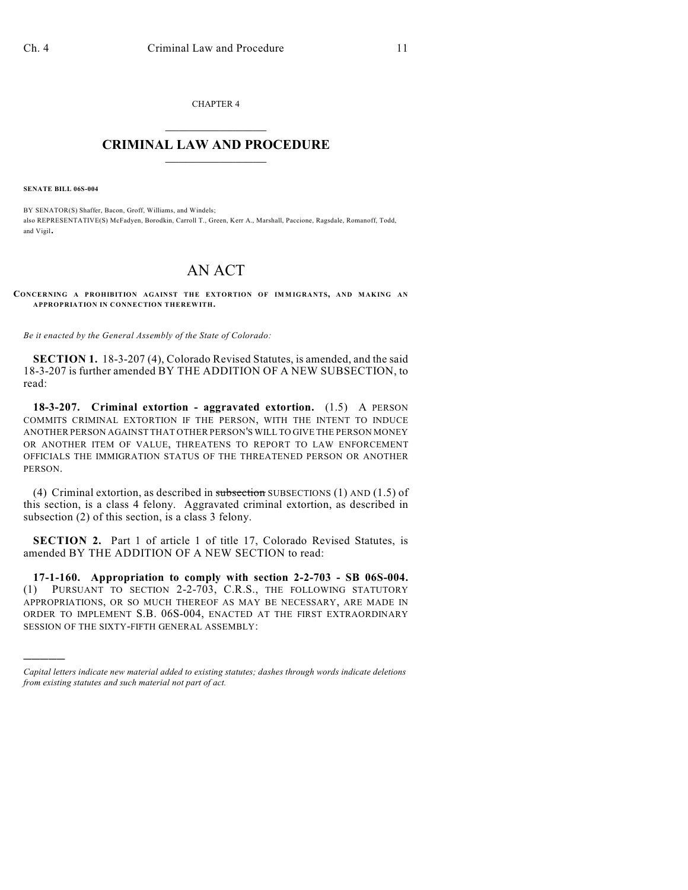CHAPTER 4  $\mathcal{L}_\text{max}$  . The set of the set of the set of the set of the set of the set of the set of the set of the set of the set of the set of the set of the set of the set of the set of the set of the set of the set of the set

## **CRIMINAL LAW AND PROCEDURE**  $\frac{1}{2}$  ,  $\frac{1}{2}$  ,  $\frac{1}{2}$  ,  $\frac{1}{2}$  ,  $\frac{1}{2}$  ,  $\frac{1}{2}$  ,  $\frac{1}{2}$

**SENATE BILL 06S-004**

)))))

BY SENATOR(S) Shaffer, Bacon, Groff, Williams, and Windels; also REPRESENTATIVE(S) McFadyen, Borodkin, Carroll T., Green, Kerr A., Marshall, Paccione, Ragsdale, Romanoff, Todd, and Vigil.

## AN ACT

**CONCERNING A PROHIBITION AGAINST THE EXTORTION OF IM M IGRANTS, AND MAKING AN APPROPRIATION IN CONNECTION THEREWITH.**

*Be it enacted by the General Assembly of the State of Colorado:*

**SECTION 1.** 18-3-207 (4), Colorado Revised Statutes, is amended, and the said 18-3-207 is further amended BY THE ADDITION OF A NEW SUBSECTION, to read:

**18-3-207. Criminal extortion - aggravated extortion.** (1.5) A PERSON COMMITS CRIMINAL EXTORTION IF THE PERSON, WITH THE INTENT TO INDUCE ANOTHER PERSON AGAINST THAT OTHER PERSON'S WILL TO GIVE THE PERSON MONEY OR ANOTHER ITEM OF VALUE, THREATENS TO REPORT TO LAW ENFORCEMENT OFFICIALS THE IMMIGRATION STATUS OF THE THREATENED PERSON OR ANOTHER PERSON.

(4) Criminal extortion, as described in subsection SUBSECTIONS (1) AND (1.5) of this section, is a class 4 felony. Aggravated criminal extortion, as described in subsection (2) of this section, is a class 3 felony.

**SECTION 2.** Part 1 of article 1 of title 17, Colorado Revised Statutes, is amended BY THE ADDITION OF A NEW SECTION to read:

**17-1-160. Appropriation to comply with section 2-2-703 - SB 06S-004.** (1) PURSUANT TO SECTION 2-2-703, C.R.S., THE FOLLOWING STATUTORY APPROPRIATIONS, OR SO MUCH THEREOF AS MAY BE NECESSARY, ARE MADE IN ORDER TO IMPLEMENT S.B. 06S-004, ENACTED AT THE FIRST EXTRAORDINARY SESSION OF THE SIXTY-FIFTH GENERAL ASSEMBLY:

*Capital letters indicate new material added to existing statutes; dashes through words indicate deletions from existing statutes and such material not part of act.*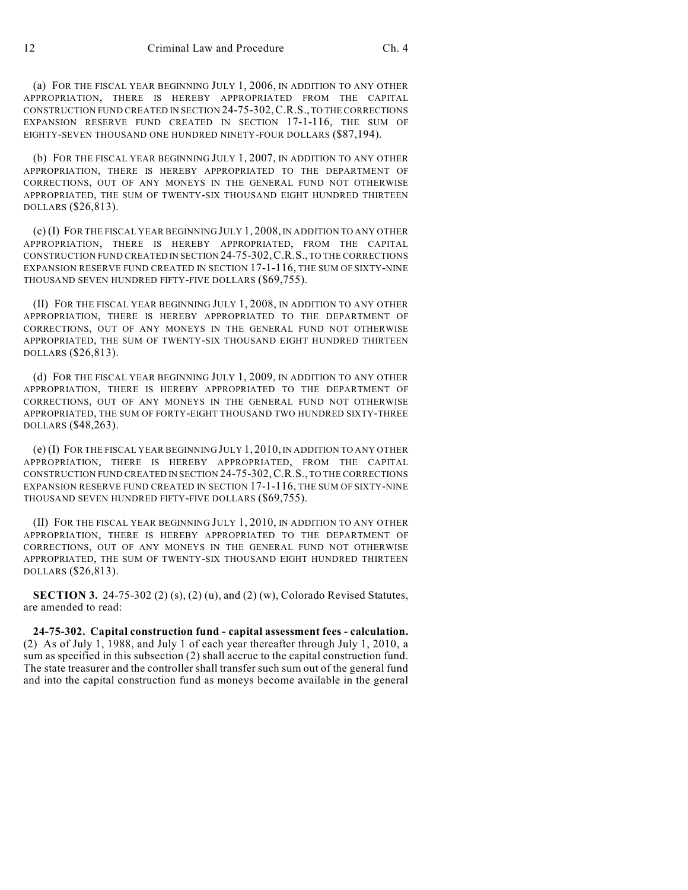(a) FOR THE FISCAL YEAR BEGINNING JULY 1, 2006, IN ADDITION TO ANY OTHER APPROPRIATION, THERE IS HEREBY APPROPRIATED FROM THE CAPITAL CONSTRUCTION FUND CREATED IN SECTION 24-75-302,C.R.S., TO THE CORRECTIONS EXPANSION RESERVE FUND CREATED IN SECTION 17-1-116, THE SUM OF EIGHTY-SEVEN THOUSAND ONE HUNDRED NINETY-FOUR DOLLARS (\$87,194).

(b) FOR THE FISCAL YEAR BEGINNING JULY 1, 2007, IN ADDITION TO ANY OTHER APPROPRIATION, THERE IS HEREBY APPROPRIATED TO THE DEPARTMENT OF CORRECTIONS, OUT OF ANY MONEYS IN THE GENERAL FUND NOT OTHERWISE APPROPRIATED, THE SUM OF TWENTY-SIX THOUSAND EIGHT HUNDRED THIRTEEN DOLLARS (\$26,813).

(c) (I) FOR THE FISCAL YEAR BEGINNING JULY 1, 2008, IN ADDITION TO ANY OTHER APPROPRIATION, THERE IS HEREBY APPROPRIATED, FROM THE CAPITAL CONSTRUCTION FUND CREATED IN SECTION 24-75-302,C.R.S., TO THE CORRECTIONS EXPANSION RESERVE FUND CREATED IN SECTION 17-1-116, THE SUM OF SIXTY-NINE THOUSAND SEVEN HUNDRED FIFTY-FIVE DOLLARS (\$69,755).

(II) FOR THE FISCAL YEAR BEGINNING JULY 1, 2008, IN ADDITION TO ANY OTHER APPROPRIATION, THERE IS HEREBY APPROPRIATED TO THE DEPARTMENT OF CORRECTIONS, OUT OF ANY MONEYS IN THE GENERAL FUND NOT OTHERWISE APPROPRIATED, THE SUM OF TWENTY-SIX THOUSAND EIGHT HUNDRED THIRTEEN DOLLARS (\$26,813).

(d) FOR THE FISCAL YEAR BEGINNING JULY 1, 2009, IN ADDITION TO ANY OTHER APPROPRIATION, THERE IS HEREBY APPROPRIATED TO THE DEPARTMENT OF CORRECTIONS, OUT OF ANY MONEYS IN THE GENERAL FUND NOT OTHERWISE APPROPRIATED, THE SUM OF FORTY-EIGHT THOUSAND TWO HUNDRED SIXTY-THREE DOLLARS (\$48,263).

(e) (I) FOR THE FISCAL YEAR BEGINNING JULY 1, 2010, IN ADDITION TO ANY OTHER APPROPRIATION, THERE IS HEREBY APPROPRIATED, FROM THE CAPITAL CONSTRUCTION FUND CREATED IN SECTION 24-75-302,C.R.S., TO THE CORRECTIONS EXPANSION RESERVE FUND CREATED IN SECTION 17-1-116, THE SUM OF SIXTY-NINE THOUSAND SEVEN HUNDRED FIFTY-FIVE DOLLARS (\$69,755).

(II) FOR THE FISCAL YEAR BEGINNING JULY 1, 2010, IN ADDITION TO ANY OTHER APPROPRIATION, THERE IS HEREBY APPROPRIATED TO THE DEPARTMENT OF CORRECTIONS, OUT OF ANY MONEYS IN THE GENERAL FUND NOT OTHERWISE APPROPRIATED, THE SUM OF TWENTY-SIX THOUSAND EIGHT HUNDRED THIRTEEN DOLLARS (\$26,813).

**SECTION 3.** 24-75-302 (2) (s), (2) (u), and (2) (w), Colorado Revised Statutes, are amended to read:

**24-75-302. Capital construction fund - capital assessment fees - calculation.** (2) As of July 1, 1988, and July 1 of each year thereafter through July 1, 2010, a sum as specified in this subsection (2) shall accrue to the capital construction fund. The state treasurer and the controller shall transfer such sum out of the general fund and into the capital construction fund as moneys become available in the general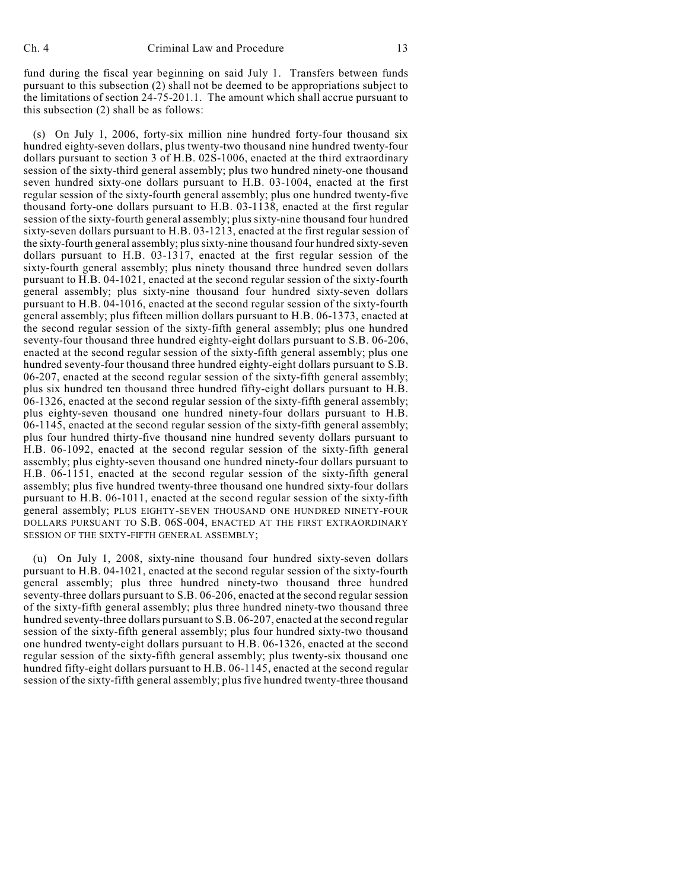fund during the fiscal year beginning on said July 1. Transfers between funds pursuant to this subsection (2) shall not be deemed to be appropriations subject to the limitations of section 24-75-201.1. The amount which shall accrue pursuant to this subsection (2) shall be as follows:

(s) On July 1, 2006, forty-six million nine hundred forty-four thousand six hundred eighty-seven dollars, plus twenty-two thousand nine hundred twenty-four dollars pursuant to section 3 of H.B. 02S-1006, enacted at the third extraordinary session of the sixty-third general assembly; plus two hundred ninety-one thousand seven hundred sixty-one dollars pursuant to H.B. 03-1004, enacted at the first regular session of the sixty-fourth general assembly; plus one hundred twenty-five thousand forty-one dollars pursuant to H.B. 03-1138, enacted at the first regular session of the sixty-fourth general assembly; plus sixty-nine thousand four hundred sixty-seven dollars pursuant to H.B. 03-1213, enacted at the first regular session of the sixty-fourth general assembly; plus sixty-nine thousand four hundred sixty-seven dollars pursuant to H.B. 03-1317, enacted at the first regular session of the sixty-fourth general assembly; plus ninety thousand three hundred seven dollars pursuant to H.B. 04-1021, enacted at the second regular session of the sixty-fourth general assembly; plus sixty-nine thousand four hundred sixty-seven dollars pursuant to H.B. 04-1016, enacted at the second regular session of the sixty-fourth general assembly; plus fifteen million dollars pursuant to H.B. 06-1373, enacted at the second regular session of the sixty-fifth general assembly; plus one hundred seventy-four thousand three hundred eighty-eight dollars pursuant to S.B. 06-206, enacted at the second regular session of the sixty-fifth general assembly; plus one hundred seventy-four thousand three hundred eighty-eight dollars pursuant to S.B. 06-207, enacted at the second regular session of the sixty-fifth general assembly; plus six hundred ten thousand three hundred fifty-eight dollars pursuant to H.B. 06-1326, enacted at the second regular session of the sixty-fifth general assembly; plus eighty-seven thousand one hundred ninety-four dollars pursuant to H.B. 06-1145, enacted at the second regular session of the sixty-fifth general assembly; plus four hundred thirty-five thousand nine hundred seventy dollars pursuant to H.B. 06-1092, enacted at the second regular session of the sixty-fifth general assembly; plus eighty-seven thousand one hundred ninety-four dollars pursuant to H.B. 06-1151, enacted at the second regular session of the sixty-fifth general assembly; plus five hundred twenty-three thousand one hundred sixty-four dollars pursuant to H.B. 06-1011, enacted at the second regular session of the sixty-fifth general assembly; PLUS EIGHTY-SEVEN THOUSAND ONE HUNDRED NINETY-FOUR DOLLARS PURSUANT TO S.B. 06S-004, ENACTED AT THE FIRST EXTRAORDINARY SESSION OF THE SIXTY-FIFTH GENERAL ASSEMBLY;

(u) On July 1, 2008, sixty-nine thousand four hundred sixty-seven dollars pursuant to H.B. 04-1021, enacted at the second regular session of the sixty-fourth general assembly; plus three hundred ninety-two thousand three hundred seventy-three dollars pursuant to S.B. 06-206, enacted at the second regular session of the sixty-fifth general assembly; plus three hundred ninety-two thousand three hundred seventy-three dollars pursuant to S.B. 06-207, enacted at the second regular session of the sixty-fifth general assembly; plus four hundred sixty-two thousand one hundred twenty-eight dollars pursuant to H.B. 06-1326, enacted at the second regular session of the sixty-fifth general assembly; plus twenty-six thousand one hundred fifty-eight dollars pursuant to H.B. 06-1145, enacted at the second regular session of the sixty-fifth general assembly; plus five hundred twenty-three thousand